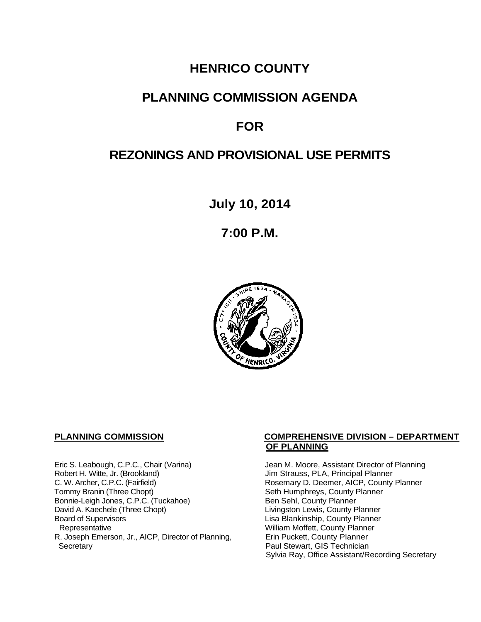## **HENRICO COUNTY**

### **PLANNING COMMISSION AGENDA**

# **FOR**

# **REZONINGS AND PROVISIONAL USE PERMITS**

**July 10, 2014**

**7:00 P.M.**



Eric S. Leabough, C.P.C., Chair (Varina) Jean M. Moore, Assistant Director of Planning<br>Robert H. Witte, Jr. (Brookland) Jim Strauss, PLA, Principal Planner Robert H. Witte, Jr. (Brookland)<br>C. W. Archer, C.P.C. (Fairfield) G. W. Archer, C.P.C. (Fairfield) C. W. Archer, C.P.C. (Fairfield) C. W. Archer, C.P.C. (Fairfield) Rosemary D. Deemer, AICP, County Planner<br>Tommy Branin (Three Chopt) Seth Humphreys, County Planner Bonnie-Leigh Jones, C.P.C. (Tuckahoe)<br>David A. Kaechele (Three Chopt) David A. Kaechele (Three Chopt) Livingston Lewis, County Planner<br>Board of Supervisors County Planner<br>Lisa Blankinship, County Planner Board of Supervisors Lisa Blankinship, County Planner R. Joseph Emerson, Jr., AICP, Director of Planning, Secretary

### **PLANNING COMMISSION COMPREHENSIVE DIVISION – DEPARTMENT OF PLANNING**

Seth Humphreys, County Planner<br>Ben Sehl, County Planner William Moffett, County Planner<br>Erin Puckett, County Planner Paul Stewart, GIS Technician Sylvia Ray, Office Assistant/Recording Secretary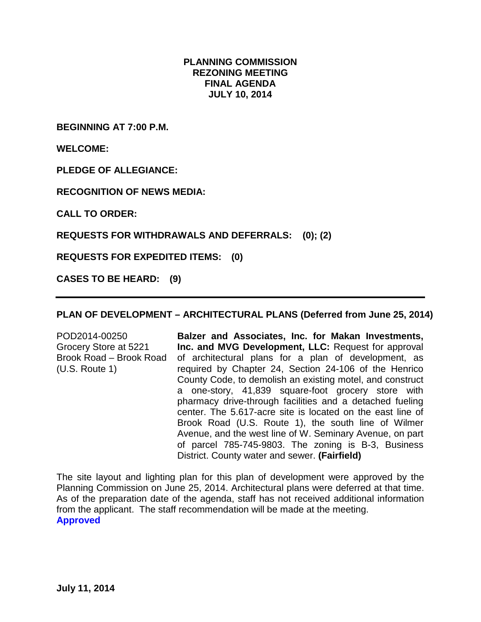### **PLANNING COMMISSION REZONING MEETING FINAL AGENDA JULY 10, 2014**

**BEGINNING AT 7:00 P.M.**

**WELCOME:**

**PLEDGE OF ALLEGIANCE:**

**RECOGNITION OF NEWS MEDIA:**

**CALL TO ORDER:**

**REQUESTS FOR WITHDRAWALS AND DEFERRALS: (0); (2)** 

**REQUESTS FOR EXPEDITED ITEMS: (0)** 

**CASES TO BE HEARD: (9)** 

### **PLAN OF DEVELOPMENT – ARCHITECTURAL PLANS (Deferred from June 25, 2014)**

POD2014-00250 Grocery Store at 5221 Brook Road – Brook Road (U.S. Route 1)

**Balzer and Associates, Inc. for Makan Investments, Inc. and MVG Development, LLC:** Request for approval of architectural plans for a plan of development, as required by Chapter 24, Section 24-106 of the Henrico County Code, to demolish an existing motel, and construct a one-story, 41,839 square-foot grocery store with pharmacy drive-through facilities and a detached fueling center. The 5.617-acre site is located on the east line of Brook Road (U.S. Route 1), the south line of Wilmer Avenue, and the west line of W. Seminary Avenue, on part of parcel 785-745-9803. The zoning is B-3, Business District. County water and sewer. **(Fairfield)**

The site layout and lighting plan for this plan of development were approved by the Planning Commission on June 25, 2014. Architectural plans were deferred at that time. As of the preparation date of the agenda, staff has not received additional information from the applicant. The staff recommendation will be made at the meeting. **Approved**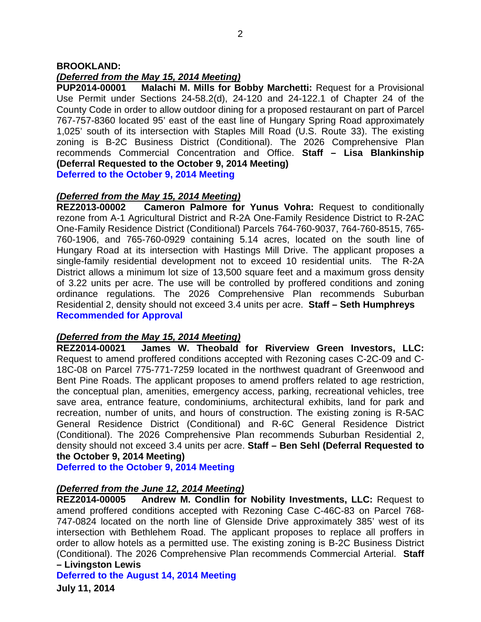#### **BROOKLAND:**

### *(Deferred from the May 15, 2014 Meeting)*

**PUP2014-00001 Malachi M. Mills for Bobby Marchetti:** Request for a Provisional Use Permit under Sections 24-58.2(d), 24-120 and 24-122.1 of Chapter 24 of the County Code in order to allow outdoor dining for a proposed restaurant on part of Parcel 767-757-8360 located 95' east of the east line of Hungary Spring Road approximately 1,025' south of its intersection with Staples Mill Road (U.S. Route 33). The existing zoning is B-2C Business District (Conditional). The 2026 Comprehensive Plan recommends Commercial Concentration and Office. **Staff – Lisa Blankinship (Deferral Requested to the October 9, 2014 Meeting)**

**Deferred to the October 9, 2014 Meeting**

# *(Deferred from the May 15, 2014 Meeting)*

**Cameron Palmore for Yunus Vohra:** Request to conditionally rezone from A-1 Agricultural District and R-2A One-Family Residence District to R-2AC One-Family Residence District (Conditional) Parcels 764-760-9037, 764-760-8515, 765- 760-1906, and 765-760-0929 containing 5.14 acres, located on the south line of Hungary Road at its intersection with Hastings Mill Drive. The applicant proposes a single-family residential development not to exceed 10 residential units. The R-2A District allows a minimum lot size of 13,500 square feet and a maximum gross density of 3.22 units per acre. The use will be controlled by proffered conditions and zoning ordinance regulations. The 2026 Comprehensive Plan recommends Suburban Residential 2, density should not exceed 3.4 units per acre. **Staff – Seth Humphreys Recommended for Approval**

# *(Deferred from the May 15, 2014 Meeting)*

**REZ2014-00021 James W. Theobald for Riverview Green Investors, LLC:** Request to amend proffered conditions accepted with Rezoning cases C-2C-09 and C-18C-08 on Parcel 775-771-7259 located in the northwest quadrant of Greenwood and Bent Pine Roads. The applicant proposes to amend proffers related to age restriction, the conceptual plan, amenities, emergency access, parking, recreational vehicles, tree save area, entrance feature, condominiums, architectural exhibits, land for park and recreation, number of units, and hours of construction. The existing zoning is R-5AC General Residence District (Conditional) and R-6C General Residence District (Conditional). The 2026 Comprehensive Plan recommends Suburban Residential 2, density should not exceed 3.4 units per acre. **Staff – Ben Sehl (Deferral Requested to the October 9, 2014 Meeting)**

**Deferred to the October 9, 2014 Meeting**

### *(Deferred from the June 12, 2014 Meeting)*

**REZ2014-00005 Andrew M. Condlin for Nobility Investments, LLC:** Request to amend proffered conditions accepted with Rezoning Case C-46C-83 on Parcel 768- 747-0824 located on the north line of Glenside Drive approximately 385' west of its intersection with Bethlehem Road. The applicant proposes to replace all proffers in order to allow hotels as a permitted use. The existing zoning is B-2C Business District (Conditional). The 2026 Comprehensive Plan recommends Commercial Arterial. **Staff – Livingston Lewis** 

**Deferred to the August 14, 2014 Meeting**

**July 11, 2014**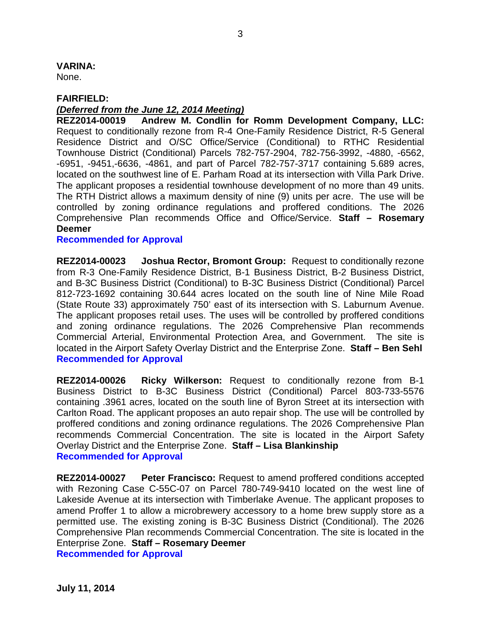### **VARINA:**

None.

### **FAIRFIELD:**

### *(Deferred from the June 12, 2014 Meeting)*

**REZ2014-00019 Andrew M. Condlin for Romm Development Company, LLC:**  Request to conditionally rezone from R-4 One-Family Residence District, R-5 General Residence District and O/SC Office/Service (Conditional) to RTHC Residential Townhouse District (Conditional) Parcels 782-757-2904, 782-756-3992, -4880, -6562, -6951, -9451,-6636, -4861, and part of Parcel 782-757-3717 containing 5.689 acres, located on the southwest line of E. Parham Road at its intersection with Villa Park Drive. The applicant proposes a residential townhouse development of no more than 49 units. The RTH District allows a maximum density of nine (9) units per acre. The use will be controlled by zoning ordinance regulations and proffered conditions. The 2026 Comprehensive Plan recommends Office and Office/Service. **Staff – Rosemary Deemer** 

### **Recommended for Approval**

**REZ2014-00023 Joshua Rector, Bromont Group:** Request to conditionally rezone from R-3 One-Family Residence District, B-1 Business District, B-2 Business District, and B-3C Business District (Conditional) to B-3C Business District (Conditional) Parcel 812-723-1692 containing 30.644 acres located on the south line of Nine Mile Road (State Route 33) approximately 750' east of its intersection with S. Laburnum Avenue. The applicant proposes retail uses. The uses will be controlled by proffered conditions and zoning ordinance regulations. The 2026 Comprehensive Plan recommends Commercial Arterial, Environmental Protection Area, and Government. The site is located in the Airport Safety Overlay District and the Enterprise Zone. **Staff – Ben Sehl Recommended for Approval**

**REZ2014-00026 Ricky Wilkerson:** Request to conditionally rezone from B-1 Business District to B-3C Business District (Conditional) Parcel 803-733-5576 containing .3961 acres, located on the south line of Byron Street at its intersection with Carlton Road. The applicant proposes an auto repair shop. The use will be controlled by proffered conditions and zoning ordinance regulations. The 2026 Comprehensive Plan recommends Commercial Concentration. The site is located in the Airport Safety Overlay District and the Enterprise Zone. **Staff – Lisa Blankinship Recommended for Approval**

**REZ2014-00027 Peter Francisco:** Request to amend proffered conditions accepted with Rezoning Case C-55C-07 on Parcel 780-749-9410 located on the west line of Lakeside Avenue at its intersection with Timberlake Avenue. The applicant proposes to amend Proffer 1 to allow a microbrewery accessory to a home brew supply store as a permitted use. The existing zoning is B-3C Business District (Conditional). The 2026 Comprehensive Plan recommends Commercial Concentration. The site is located in the Enterprise Zone. **Staff – Rosemary Deemer Recommended for Approval**